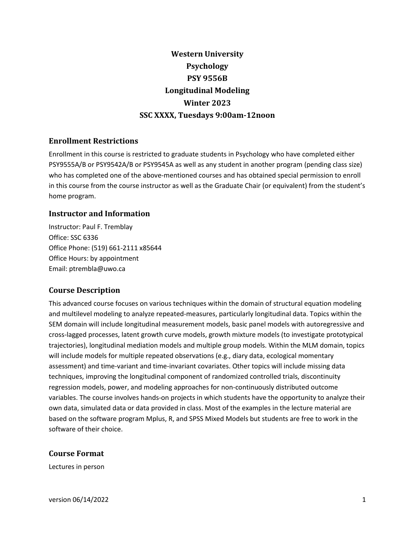# **Western University Psychology PSY 9556B Longitudinal Modeling Winter 2023 SSC XXXX, Tuesdays 9:00am-12noon**

# **Enrollment Restrictions**

Enrollment in this course is restricted to graduate students in Psychology who have completed either PSY9555A/B or PSY9542A/B or PSY9545A as well as any student in another program (pending class size) who has completed one of the above-mentioned courses and has obtained special permission to enroll in this course from the course instructor as well as the Graduate Chair (or equivalent) from the student's home program.

# **Instructor and Information**

Instructor: Paul F. Tremblay Office: SSC 6336 Office Phone: (519) 661-2111 x85644 Office Hours: by appointment Email: ptrembla@uwo.ca

# **Course Description**

This advanced course focuses on various techniques within the domain of structural equation modeling and multilevel modeling to analyze repeated-measures, particularly longitudinal data. Topics within the SEM domain will include longitudinal measurement models, basic panel models with autoregressive and cross-lagged processes, latent growth curve models, growth mixture models (to investigate prototypical trajectories), longitudinal mediation models and multiple group models. Within the MLM domain, topics will include models for multiple repeated observations (e.g., diary data, ecological momentary assessment) and time-variant and time-invariant covariates. Other topics will include missing data techniques, improving the longitudinal component of randomized controlled trials, discontinuity regression models, power, and modeling approaches for non-continuously distributed outcome variables. The course involves hands-on projects in which students have the opportunity to analyze their own data, simulated data or data provided in class. Most of the examples in the lecture material are based on the software program Mplus, R, and SPSS Mixed Models but students are free to work in the software of their choice.

# **Course Format**

Lectures in person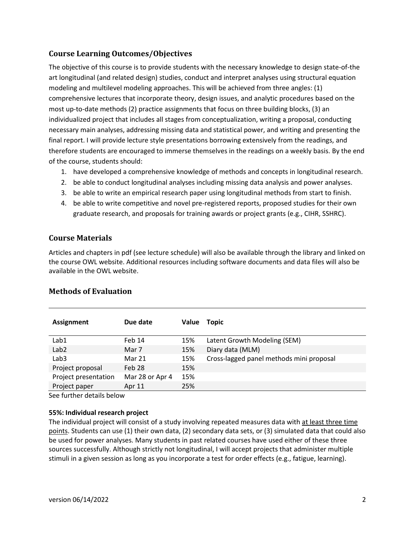# **Course Learning Outcomes/Objectives**

The objective of this course is to provide students with the necessary knowledge to design state-of-the art longitudinal (and related design) studies, conduct and interpret analyses using structural equation modeling and multilevel modeling approaches. This will be achieved from three angles: (1) comprehensive lectures that incorporate theory, design issues, and analytic procedures based on the most up-to-date methods (2) practice assignments that focus on three building blocks, (3) an individualized project that includes all stages from conceptualization, writing a proposal, conducting necessary main analyses, addressing missing data and statistical power, and writing and presenting the final report. I will provide lecture style presentations borrowing extensively from the readings, and therefore students are encouraged to immerse themselves in the readings on a weekly basis. By the end of the course, students should:

- 1. have developed a comprehensive knowledge of methods and concepts in longitudinal research.
- 2. be able to conduct longitudinal analyses including missing data analysis and power analyses.
- 3. be able to write an empirical research paper using longitudinal methods from start to finish.
- 4. be able to write competitive and novel pre-registered reports, proposed studies for their own graduate research, and proposals for training awards or project grants (e.g., CIHR, SSHRC).

# **Course Materials**

Articles and chapters in pdf (see lecture schedule) will also be available through the library and linked on the course OWL website. Additional resources including software documents and data files will also be available in the OWL website.

| <b>Assignment</b>    | Due date        | Value | Topic                                    |
|----------------------|-----------------|-------|------------------------------------------|
| Lab1                 | Feb 14          | 15%   | Latent Growth Modeling (SEM)             |
| Lab <sub>2</sub>     | Mar 7           | 15%   | Diary data (MLM)                         |
| Lab <sub>3</sub>     | Mar 21          | 15%   | Cross-lagged panel methods mini proposal |
| Project proposal     | Feb 28          | 15%   |                                          |
| Project presentation | Mar 28 or Apr 4 | 15%   |                                          |
| Project paper<br>.   | Apr 11          | 25%   |                                          |

# **Methods of Evaluation**

See further details below

## **55%: Individual research project**

The individual project will consist of a study involving repeated measures data with at least three time points. Students can use (1) their own data, (2) secondary data sets, or (3) simulated data that could also be used for power analyses. Many students in past related courses have used either of these three sources successfully. Although strictly not longitudinal, I will accept projects that administer multiple stimuli in a given session as long as you incorporate a test for order effects (e.g., fatigue, learning).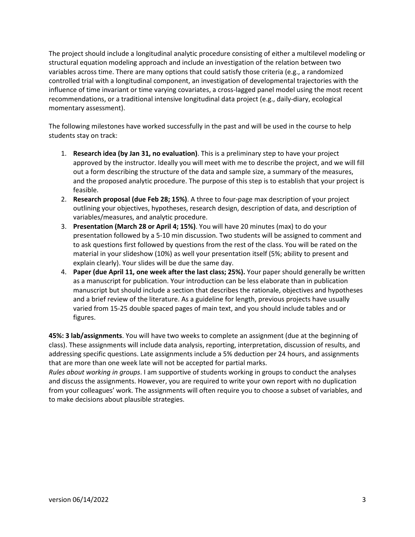The project should include a longitudinal analytic procedure consisting of either a multilevel modeling or structural equation modeling approach and include an investigation of the relation between two variables across time. There are many options that could satisfy those criteria (e.g., a randomized controlled trial with a longitudinal component, an investigation of developmental trajectories with the influence of time invariant or time varying covariates, a cross-lagged panel model using the most recent recommendations, or a traditional intensive longitudinal data project (e.g., daily-diary, ecological momentary assessment).

The following milestones have worked successfully in the past and will be used in the course to help students stay on track:

- 1. **Research idea (by Jan 31, no evaluation)**. This is a preliminary step to have your project approved by the instructor. Ideally you will meet with me to describe the project, and we will fill out a form describing the structure of the data and sample size, a summary of the measures, and the proposed analytic procedure. The purpose of this step is to establish that your project is feasible.
- 2. **Research proposal (due Feb 28; 15%)**. A three to four-page max description of your project outlining your objectives, hypotheses, research design, description of data, and description of variables/measures, and analytic procedure.
- 3. **Presentation (March 28 or April 4; 15%)**. You will have 20 minutes (max) to do your presentation followed by a 5-10 min discussion. Two students will be assigned to comment and to ask questions first followed by questions from the rest of the class. You will be rated on the material in your slideshow (10%) as well your presentation itself (5%; ability to present and explain clearly). Your slides will be due the same day.
- 4. **Paper (due April 11, one week after the last class; 25%).** Your paper should generally be written as a manuscript for publication. Your introduction can be less elaborate than in publication manuscript but should include a section that describes the rationale, objectives and hypotheses and a brief review of the literature. As a guideline for length, previous projects have usually varied from 15-25 double spaced pages of main text, and you should include tables and or figures.

**45%: 3 lab/assignments**. You will have two weeks to complete an assignment (due at the beginning of class). These assignments will include data analysis, reporting, interpretation, discussion of results, and addressing specific questions. Late assignments include a 5% deduction per 24 hours, and assignments that are more than one week late will not be accepted for partial marks.

*Rules about working in groups*. I am supportive of students working in groups to conduct the analyses and discuss the assignments. However, you are required to write your own report with no duplication from your colleagues' work. The assignments will often require you to choose a subset of variables, and to make decisions about plausible strategies.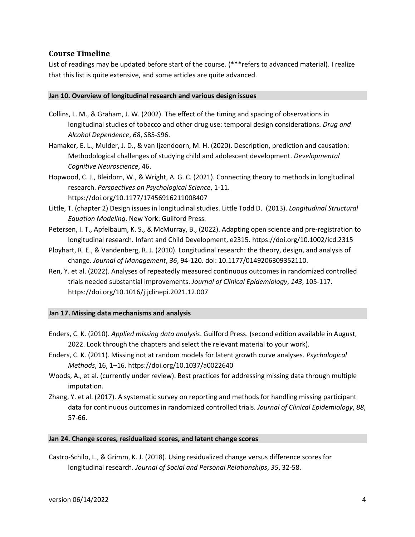## **Course Timeline**

List of readings may be updated before start of the course. (\*\*\*refers to advanced material). I realize that this list is quite extensive, and some articles are quite advanced.

#### **Jan 10. Overview of longitudinal research and various design issues**

- Collins, L. M., & Graham, J. W. (2002). The effect of the timing and spacing of observations in longitudinal studies of tobacco and other drug use: temporal design considerations. *Drug and Alcohol Dependence*, *68*, S85-S96.
- Hamaker, E. L., Mulder, J. D., & van Ijzendoorn, M. H. (2020). Description, prediction and causation: Methodological challenges of studying child and adolescent development. *Developmental Cognitive Neuroscience*, 46.
- Hopwood, C. J., Bleidorn, W., & Wright, A. G. C. (2021). Connecting theory to methods in longitudinal research. *Perspectives on Psychological Science*, 1-11. https://doi.org/10.1177/17456916211008407
- Little, T. (chapter 2) Design issues in longitudinal studies. Little Todd D. (2013). *Longitudinal Structural Equation Modeling*. New York: Guilford Press.
- Petersen, I. T., Apfelbaum, K. S., & McMurray, B., (2022). Adapting open science and pre-registration to longitudinal research. Infant and Child Development, e2315. https://doi.org/10.1002/icd.2315
- Ployhart, R. E., & Vandenberg, R. J. (2010). Longitudinal research: the theory, design, and analysis of change. *Journal of Management*, *36*, 94-120. doi: 10.1177/0149206309352110.
- Ren, Y. et al. (2022). Analyses of repeatedly measured continuous outcomes in randomized controlled trials needed substantial improvements. *Journal of Clinical Epidemiology*, *143*, 105-117. <https://doi.org/10.1016/j.jclinepi.2021.12.007>

## **Jan 17. Missing data mechanisms and analysis**

- Enders, C. K. (2010). *Applied missing data analysis*. Guilford Press. (second edition available in August, 2022. Look through the chapters and select the relevant material to your work).
- Enders, C. K. (2011). Missing not at random models for latent growth curve analyses. *Psychological Methods*, 16, 1–16. https://doi.org/10.1037/a0022640
- Woods, A., et al. (currently under review). Best practices for addressing missing data through multiple imputation.
- Zhang, Y. et al. (2017). A systematic survey on reporting and methods for handling missing participant data for continuous outcomes in randomized controlled trials. *Journal of Clinical Epidemiology*, *88*, 57-66.

#### **Jan 24. Change scores, residualized scores, and latent change scores**

Castro-Schilo, L., & Grimm, K. J. (2018). Using residualized change versus difference scores for longitudinal research. *Journal of Social and Personal Relationships*, *35*, 32-58.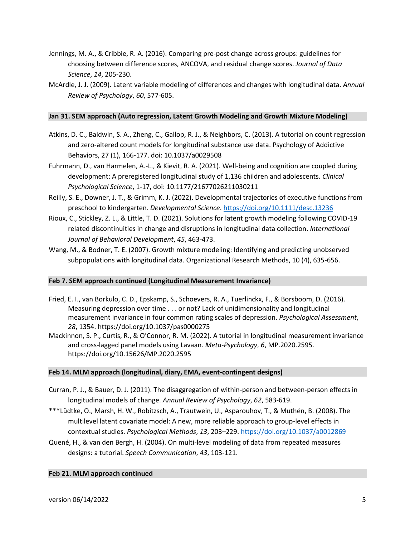- Jennings, M. A., & Cribbie, R. A. (2016). Comparing pre-post change across groups: guidelines for choosing between difference scores, ANCOVA, and residual change scores. *Journal of Data Science*, *14*, 205-230.
- McArdle, J. J. (2009). Latent variable modeling of differences and changes with longitudinal data. *Annual Review of Psychology*, *60*, 577-605.

## **Jan 31. SEM approach (Auto regression, Latent Growth Modeling and Growth Mixture Modeling)**

- Atkins, D. C., Baldwin, S. A., Zheng, C., Gallop, R. J., & Neighbors, C. (2013). A tutorial on count regression and zero-altered count models for longitudinal substance use data. Psychology of Addictive Behaviors, 27 (1), 166-177. doi: 10.1037/a0029508
- Fuhrmann, D., van Harmelen, A.-L., & Kievit, R. A. (2021). Well-being and cognition are coupled during development: A preregistered longitudinal study of 1,136 children and adolescents. *Clinical Psychological Science*, 1-17, doi: 10.1177/21677026211030211
- Reilly, S. E., Downer, J. T., & Grimm, K. J. (2022). Developmental trajectories of executive functions from preschool to kindergarten. *Developmental Science*[. https://doi.org/10.1111/desc.13236](https://doi.org/10.1111/desc.13236)
- Rioux, C., Stickley, Z. L., & Little, T. D. (2021). Solutions for latent growth modeling following COVID-19 related discontinuities in change and disruptions in longitudinal data collection. *International Journal of Behavioral Development*, *45*, 463-473.
- Wang, M., & Bodner, T. E. (2007). Growth mixture modeling: Identifying and predicting unobserved subpopulations with longitudinal data. Organizational Research Methods, 10 (4), 635-656.

## **Feb 7. SEM approach continued (Longitudinal Measurement Invariance)**

- Fried, E. I., van Borkulo, C. D., Epskamp, S., Schoevers, R. A., Tuerlinckx, F., & Borsboom, D. (2016). Measuring depression over time . . . or not? Lack of unidimensionality and longitudinal measurement invariance in four common rating scales of depression. *Psychological Assessment*, *28*, 1354. https://doi.org/10.1037/pas0000275
- Mackinnon, S. P., Curtis, R., & O'Connor, R. M. (2022). A tutorial in longitudinal measurement invariance and cross-lagged panel models using Lavaan. *Meta-Psychology*, *6*, MP.2020.2595. https://doi.org/10.15626/MP.2020.2595

#### **Feb 14. MLM approach (longitudinal, diary, EMA, event-contingent designs)**

- Curran, P. J., & Bauer, D. J. (2011). The disaggregation of within-person and between-person effects in longitudinal models of change. *Annual Review of Psychology*, *62*, 583-619.
- \*\*\*Lüdtke, O., Marsh, H. W., Robitzsch, A., Trautwein, U., Asparouhov, T., & Muthén, B. (2008). The multilevel latent covariate model: A new, more reliable approach to group-level effects in contextual studies. *Psychological Methods*, *13*, 203–229.<https://doi.org/10.1037/a0012869>
- Quené, H., & van den Bergh, H. (2004). On multi-level modeling of data from repeated measures designs: a tutorial. *Speech Communication*, *43*, 103-121.

#### **Feb 21. MLM approach continued**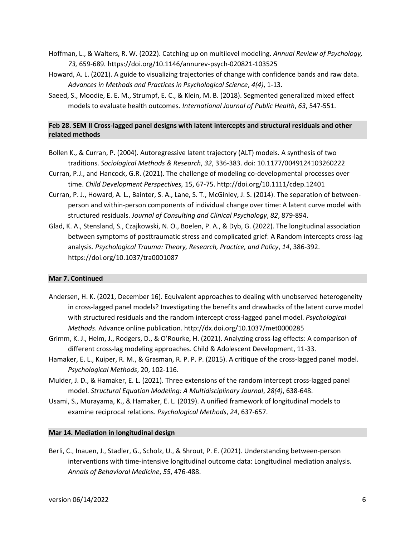- Hoffman, L., & Walters, R. W. (2022). Catching up on multilevel modeling. *Annual Review of Psychology, 73,* 659-689*.* https://doi.org/10.1146/annurev-psych-020821-103525
- Howard, A. L. (2021). A guide to visualizing trajectories of change with confidence bands and raw data. *Advances in Methods and Practices in Psychological Science*, *4(4)*, 1-13.
- Saeed, S., Moodie, E. E. M., Strumpf, E. C., & Klein, M. B. (2018). Segmented generalized mixed effect models to evaluate health outcomes. *International Journal of Public Health*, *63*, 547-551.

# **Feb 28. SEM II Cross-lagged panel designs with latent intercepts and structural residuals and other related methods**

- Bollen K., & Curran, P. (2004). Autoregressive latent trajectory (ALT) models. A synthesis of two traditions. *Sociological Methods & Research*, *32*, 336-383. doi: 10.1177/0049124103260222
- Curran, P.J., and Hancock, G.R. (2021). The challenge of modeling co-developmental processes over time. *Child Development Perspectives,* 15, 67-75. http://doi.org/10.1111/cdep.12401
- Curran, P. J., Howard, A. L., Bainter, S. A., Lane, S. T., McGinley, J. S. (2014). The separation of betweenperson and within-person components of individual change over time: A latent curve model with structured residuals. *Journal of Consulting and Clinical Psychology*, *82*, 879-894.
- Glad, K. A., Stensland, S., Czajkowski, N. O., Boelen, P. A., & Dyb, G. (2022). The longitudinal association between symptoms of posttraumatic stress and complicated grief: A Random intercepts cross-lag analysis. *Psychological Trauma: Theory, Research, Practice, and Policy*, *14*, 386-392. <https://doi.org/10.1037/tra0001087>

## **Mar 7. Continued**

- Andersen, H. K. (2021, December 16). Equivalent approaches to dealing with unobserved heterogeneity in cross-lagged panel models? Investigating the benefits and drawbacks of the latent curve model with structured residuals and the random intercept cross-lagged panel model. *Psychological Methods*. Advance online publication. http://dx.doi.org/10.1037/met0000285
- Grimm, K. J., Helm, J., Rodgers, D., & O'Rourke, H. (2021). Analyzing cross-lag effects: A comparison of different cross-lag modeling approaches. Child & Adolescent Development, 11-33.
- Hamaker, E. L., Kuiper, R. M., & Grasman, R. P. P. P. (2015). A critique of the cross-lagged panel model. *Psychological Methods*, 20, 102-116.
- Mulder, J. D., & Hamaker, E. L. (2021). Three extensions of the random intercept cross-lagged panel model. *Structural Equation Modeling: A Multidisciplinary Journal*, *28(4)*, 638-648.
- Usami, S., Murayama, K., & Hamaker, E. L. (2019). A unified framework of longitudinal models to examine reciprocal relations. *Psychological Methods*, *24*, 637-657.

#### **Mar 14. Mediation in longitudinal design**

Berli, C., Inauen, J., Stadler, G., Scholz, U., & Shrout, P. E. (2021). Understanding between-person interventions with time-intensive longitudinal outcome data: Longitudinal mediation analysis. *Annals of Behavioral Medicine*, *55*, 476-488.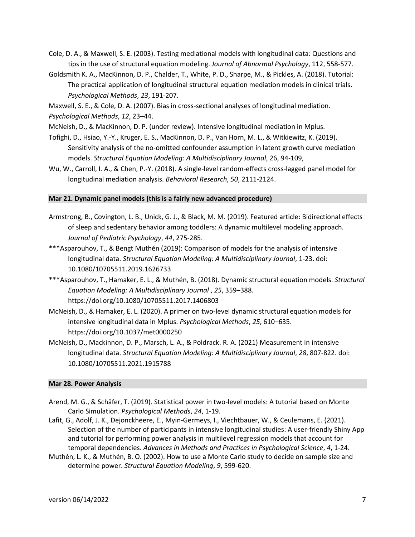- Cole, D. A., & Maxwell, S. E. (2003). Testing mediational models with longitudinal data: Questions and tips in the use of structural equation modeling. *Journal of Abnormal Psychology*, 112, 558-577.
- Goldsmith K. A., MacKinnon, D. P., Chalder, T., White, P. D., Sharpe, M., & Pickles, A. (2018). Tutorial: The practical application of longitudinal structural equation mediation models in clinical trials. *Psychological Methods*, *23*, 191-207.

Maxwell, S. E., & Cole, D. A. (2007). Bias in cross-sectional analyses of longitudinal mediation. *Psychological Methods*, *12*, 23–44.

- McNeish, D., & MacKinnon, D. P. (under review). Intensive longitudinal mediation in Mplus.
- Tofighi, D., Hsiao, Y.-Y., Kruger, E. S., MacKinnon, D. P., Van Horn, M. L., & Witkiewitz, K. (2019). Sensitivity analysis of the no-omitted confounder assumption in latent growth curve mediation models. *Structural Equation Modeling: A Multidisciplinary Journal*, 26, 94-109,
- Wu, W., Carroll, I. A., & Chen, P.-Y. (2018). A single-level random-effects cross-lagged panel model for longitudinal mediation analysis. *Behavioral Research*, *50*, 2111-2124.

#### **Mar 21. Dynamic panel models (this is a fairly new advanced procedure)**

- Armstrong, B., Covington, L. B., Unick, G. J., & Black, M. M. (2019). Featured article: Bidirectional effects of sleep and sedentary behavior among toddlers: A dynamic multilevel modeling approach. *Journal of Pediatric Psychology*, *44*, 275-285.
- \*\*\*Asparouhov, T., & Bengt Muthén (2019): Comparison of models for the analysis of intensive longitudinal data. *Structural Equation Modeling: A Multidisciplinary Journal*, 1-23. doi: 10.1080/10705511.2019.1626733
- \*\*\*Asparouhov, T., Hamaker, E. L., & Muthén, B. (2018). Dynamic structural equation models. *Structural Equation Modeling: A Multidisciplinary Journal* , *25*, 359–388. <https://doi.org/10.1080/10705511.2017.1406803>
- McNeish, D., & Hamaker, E. L. (2020). A primer on two-level dynamic structural equation models for intensive longitudinal data in Mplus. *Psychological Methods*, *25*, 610–635. <https://doi.org/10.1037/met0000250>
- McNeish, D., Mackinnon, D. P., Marsch, L. A., & Poldrack. R. A. (2021) Measurement in intensive longitudinal data. *Structural Equation Modeling: A Multidisciplinary Journal*, *28*, 807-822. doi: 10.1080/10705511.2021.1915788

## **Mar 28. Power Analysis**

- Arend, M. G., & Schäfer, T. (2019). Statistical power in two-level models: A tutorial based on Monte Carlo Simulation. *Psychological Methods*, *24*, 1-19.
- Lafit, G., Adolf, J. K., Dejonckheere, E., Myin-Germeys, I., Viechtbauer, W., & Ceulemans, E. (2021). Selection of the number of participants in intensive longitudinal studies: A user-friendly Shiny App and tutorial for performing power analysis in multilevel regression models that account for temporal dependencies. *Advances in Methods and Practices in Psychological Science*, *4*, 1-24.
- Muthén, L. K., & Muthén, B. O. (2002). How to use a Monte Carlo study to decide on sample size and determine power. *Structural Equation Modeling*, *9*, 599-620.